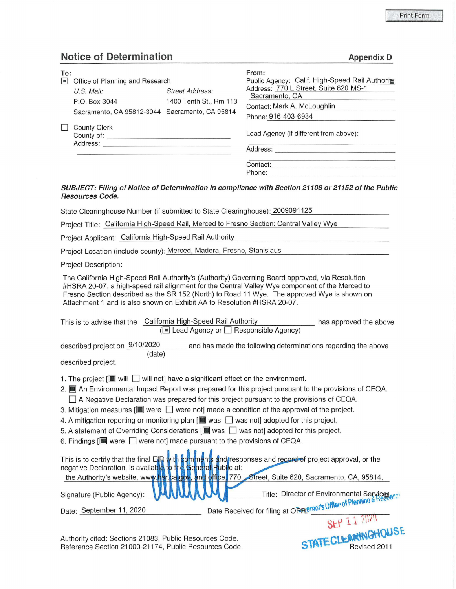## **Notice of Determination Appendix D Appendix D**

| To:<br> n | Office of Planning and Research                |                                                  | From:<br>Public Agency: Calif. High-Speed Rail Authority                                                      |
|-----------|------------------------------------------------|--------------------------------------------------|---------------------------------------------------------------------------------------------------------------|
|           | $U.S.$ Mail:<br>P.O. Box 3044                  | <b>Street Address:</b><br>1400 Tenth St., Rm 113 | Address: 770 L Street, Suite 620 MS-1<br>Sacramento, CA<br>Contact: Mark A. McLoughlin<br>Phone: 916-403-6934 |
|           | Sacramento, CA 95812-3044 Sacramento, CA 95814 |                                                  |                                                                                                               |
|           | <b>County Clerk</b><br>County of:<br>Address:  |                                                  | Lead Agency (if different from above):<br>Address:                                                            |
|           |                                                |                                                  | Contact:<br>Phone:                                                                                            |

## **SUBJECT: Filing of Notice of Determination in compliance with Section 21108 or 21152 of the Public Resources Code.**

State Clearinghouse Number (if submitted to State Clearinghouse): 2009091125

Project Title: California High-Speed Rail, Merced to Fresno Section: Central Valley Wye

Project Applicant: California High-Speed Rail Authority

Project Location (include county): Merced, Madera, Fresno, Stanislaus

Project Description:

The California High-Speed Rail Authority's (Authority) Governing Board approved, via Resolution #HSRA 20-07, a high-speed rail alignment for the Central Valley Wye component of the Merced to Fresno Section described as the SR 152 (North) to Road 11 Wye. The approved Wye is shown on Attachment 1 and is also shown on Exhibit AA to Resolution #HSRA 20-07.

| This is to advise that the California High-Speed Rail Authority | has approved the above |
|-----------------------------------------------------------------|------------------------|
| (■ Lead Agency or □ Responsible Agency)                         |                        |

described project on  $\frac{9}{10/2020}$  and has made the following determinations regarding the above (date)

described project.

- 1. The project  $\left[\Box\right]$  will  $\Box$  will not] have a significant effect on the environment.
- 2. **[j]** An Environmental Impact Report was prepared for this project pursuant to the provisions of CEQA.
	- $\Box$  A Negative Declaration was prepared for this project pursuant to the provisions of CEQA.
- 3. Mitigation measures  $[\blacksquare]$  were  $\Box$  were not] made a condition of the approval of the project.
- 4. A mitigation reporting or monitoring plan  $[\blacksquare$  was  $\Box$  was not] adopted for this project.
- 5. A statement of Overriding Considerations **[** $\blacksquare$  was  $\Box$  was not] adopted for this project.

 $B$   $A$ 

6. Findings **[iii**] were  $\Box$  were not] made pursuant to the provisions of CEQA.

|                                            | This is to certify that the final EIR with comments and responses and record of project approval, or the negative Declaration, is available to the General Public at:<br>the Authority's website, www.hsr.ca.gov. and office 770 |
|--------------------------------------------|----------------------------------------------------------------------------------------------------------------------------------------------------------------------------------------------------------------------------------|
|                                            |                                                                                                                                                                                                                                  |
| Signature (Public Agency): <b>WAAAAAAA</b> | Title: Director of Environmental Services are:<br>Date Received for filing at OPPEROLS Office of Planning & Research                                                                                                             |
| Date: September 11, 2020                   |                                                                                                                                                                                                                                  |

SEP 11 2020 SEP 1 1 MINGHOUSE

Revised 2011

Authority cited: Sections 21083, Public Resources Code. Reference Section 21000-21174, Public Resources Code.